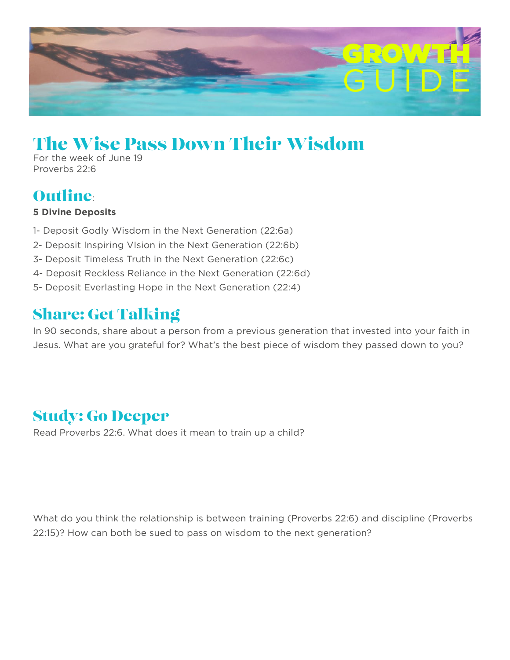

# The Wise Pass Down Their Wisdom

For the week of June 19 Proverbs 22:6

#### Outline:

#### **5 Divine Deposits**

- 1- Deposit Godly Wisdom in the Next Generation (22:6a)
- 2- Deposit Inspiring VIsion in the Next Generation (22:6b)
- 3- Deposit Timeless Truth in the Next Generation (22:6c)
- 4- Deposit Reckless Reliance in the Next Generation (22:6d)
- 5- Deposit Everlasting Hope in the Next Generation (22:4)

## Share: Get Talking

In 90 seconds, share about a person from a previous generation that invested into your faith in Jesus. What are you grateful for? What's the best piece of wisdom they passed down to you?

#### Study: Go Deeper

Read Proverbs 22:6. What does it mean to train up a child?

What do you think the relationship is between training (Proverbs 22:6) and discipline (Proverbs 22:15)? How can both be sued to pass on wisdom to the next generation?